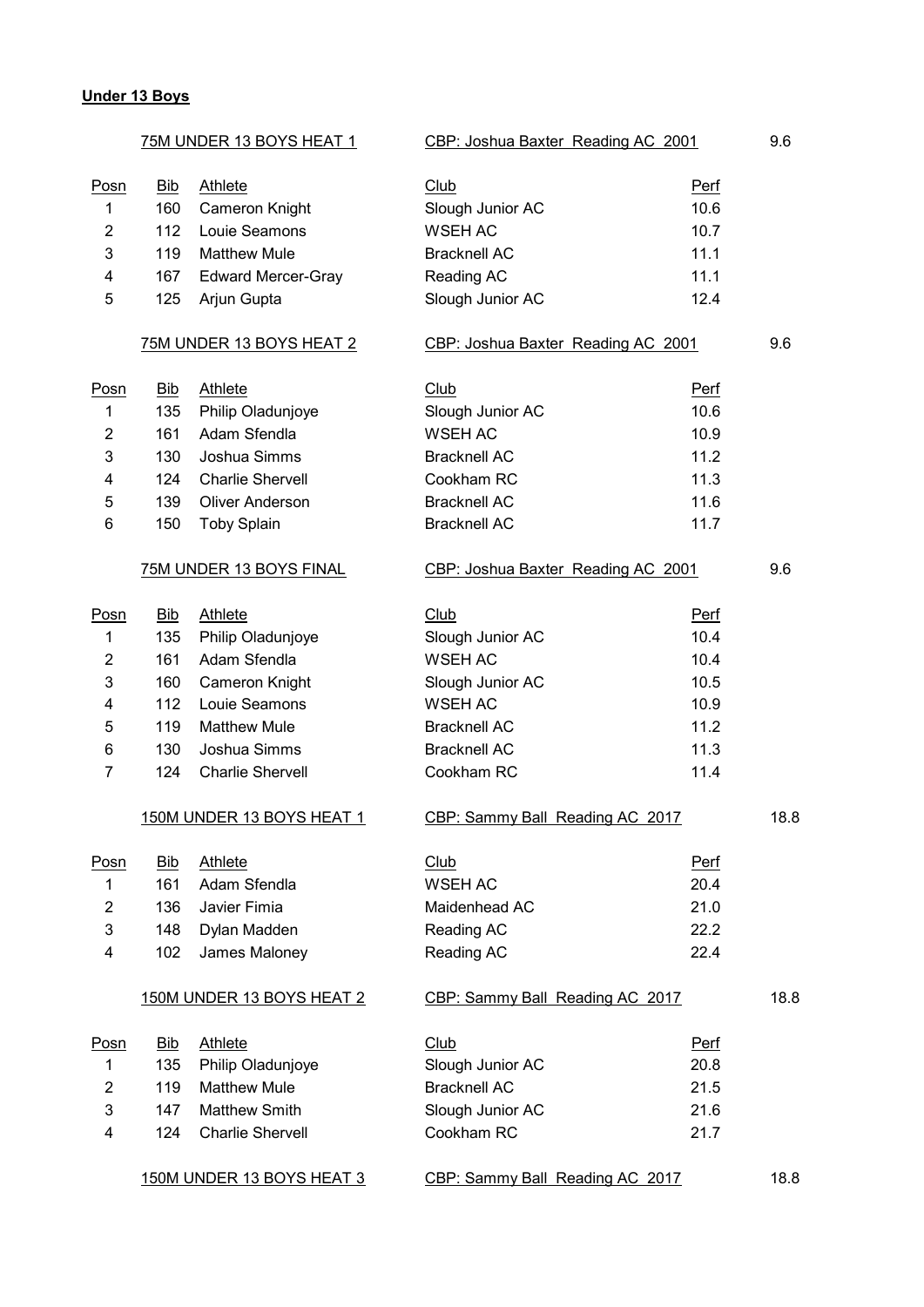#### **Under 13 Boys**

|                | <u>75M UNDER 13 BOYS HE</u> AT 1 |                           | CBP: Joshua Baxter Reading AC 2001 |             | 9.6  |
|----------------|----------------------------------|---------------------------|------------------------------------|-------------|------|
| Posn           | <u>Bib</u>                       | <b>Athlete</b>            | Club                               | <b>Perf</b> |      |
| 1              | 160                              | Cameron Knight            | Slough Junior AC                   | 10.6        |      |
| 2              | 112                              | Louie Seamons             | <b>WSEH AC</b>                     | 10.7        |      |
| 3              | 119                              | <b>Matthew Mule</b>       | <b>Bracknell AC</b>                | 11.1        |      |
| 4              | 167                              | <b>Edward Mercer-Gray</b> | Reading AC                         | 11.1        |      |
| 5              | 125                              | Arjun Gupta               | Slough Junior AC                   | 12.4        |      |
|                |                                  | 75M UNDER 13 BOYS HEAT 2  | CBP: Joshua Baxter Reading AC 2001 |             | 9.6  |
| Posn           | <u>Bib</u>                       | <b>Athlete</b>            | Club                               | <b>Perf</b> |      |
| 1              | 135                              | Philip Oladunjoye         | Slough Junior AC                   | 10.6        |      |
| $\overline{c}$ | 161                              | Adam Sfendla              | <b>WSEH AC</b>                     | 10.9        |      |
| 3              | 130                              | Joshua Simms              | <b>Bracknell AC</b>                | 11.2        |      |
| 4              | 124                              | <b>Charlie Shervell</b>   | Cookham RC                         | 11.3        |      |
| 5              | 139                              | <b>Oliver Anderson</b>    | <b>Bracknell AC</b>                | 11.6        |      |
| 6              | 150                              | <b>Toby Splain</b>        | <b>Bracknell AC</b>                | 11.7        |      |
|                |                                  | 75M UNDER 13 BOYS FINAL   | CBP: Joshua Baxter Reading AC 2001 |             | 9.6  |
| Posn           | <u>Bib</u>                       | <b>Athlete</b>            | Club                               | <b>Perf</b> |      |
| 1              | 135                              | Philip Oladunjoye         | Slough Junior AC                   | 10.4        |      |
| 2              | 161                              | Adam Sfendla              | <b>WSEH AC</b>                     | 10.4        |      |
| 3              | 160                              | Cameron Knight            | Slough Junior AC                   | 10.5        |      |
| 4              | 112                              | Louie Seamons             | <b>WSEH AC</b>                     | 10.9        |      |
| 5              | 119                              | <b>Matthew Mule</b>       | <b>Bracknell AC</b>                | 11.2        |      |
| 6              | 130                              | Joshua Simms              | <b>Bracknell AC</b>                | 11.3        |      |
| 7              | 124                              | <b>Charlie Shervell</b>   | Cookham RC                         | 11.4        |      |
|                |                                  | 150M UNDER 13 BOYS HEAT 1 | CBP: Sammy Ball Reading AC 2017    |             | 18.8 |
| Posn           | <b>Bib</b>                       | Athlete                   | Club                               | Perf        |      |
| 1              | 161                              | Adam Sfendla              | <b>WSEH AC</b>                     | 20.4        |      |
| 2              | 136                              | Javier Fimia              | Maidenhead AC                      | 21.0        |      |
| 3              | 148                              | Dylan Madden              | Reading AC                         | 22.2        |      |
| 4              | 102                              | James Maloney             | Reading AC                         | 22.4        |      |
|                |                                  | 150M UNDER 13 BOYS HEAT 2 | CBP: Sammy Ball Reading AC 2017    |             | 18.8 |
| Posn           | <b>Bib</b>                       | <b>Athlete</b>            | <b>Club</b>                        | Perf        |      |
| 1              | 135                              | Philip Oladunjoye         | Slough Junior AC                   | 20.8        |      |
| 2              | 119                              | <b>Matthew Mule</b>       | <b>Bracknell AC</b>                | 21.5        |      |
| 3              | 147                              | <b>Matthew Smith</b>      | Slough Junior AC                   | 21.6        |      |
| 4              | 124                              | <b>Charlie Shervell</b>   | Cookham RC                         | 21.7        |      |
|                |                                  | 150M UNDER 13 BOYS HEAT 3 | CBP: Sammy Ball Reading AC 2017    |             | 18.8 |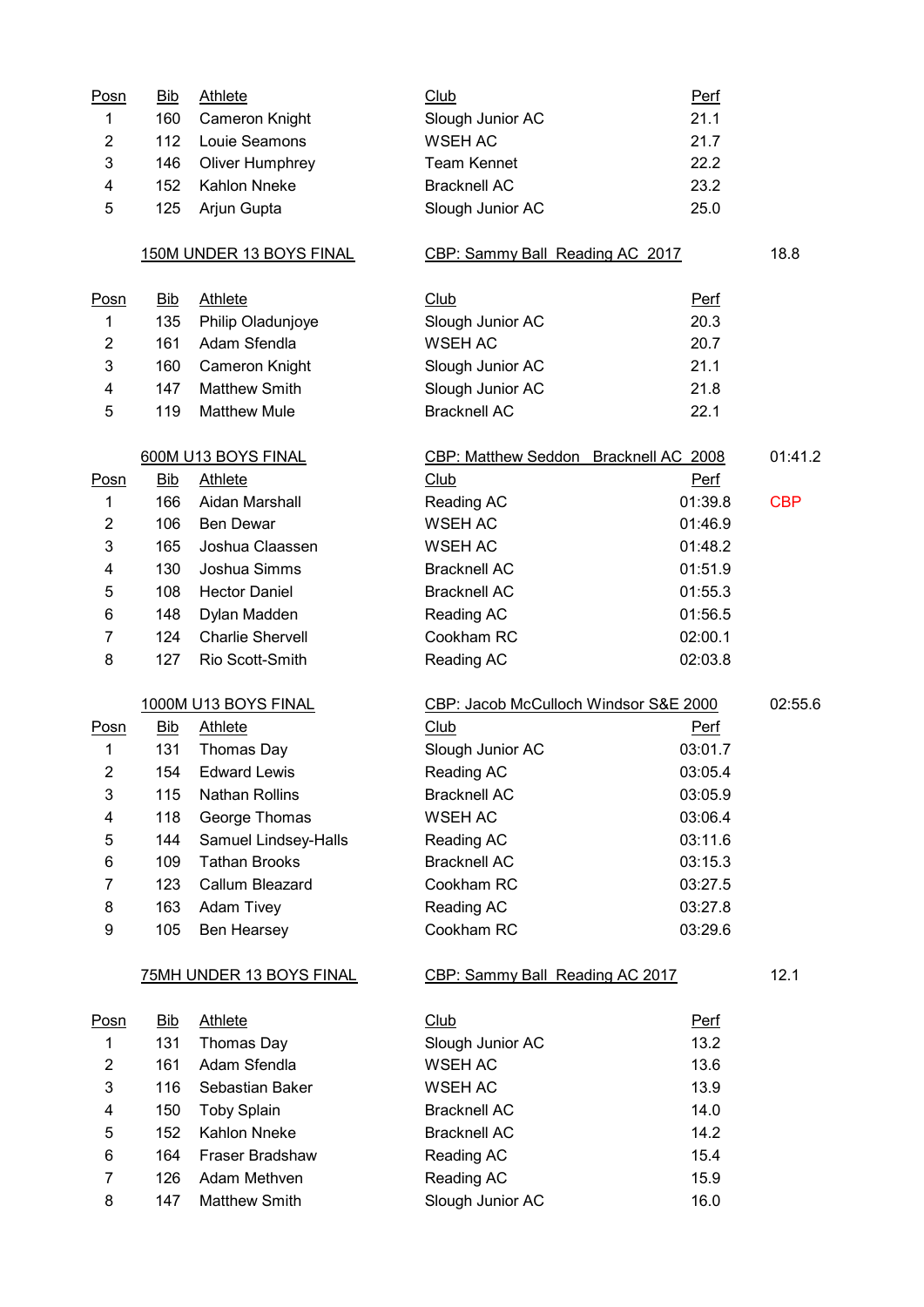| Posn           | <b>Bib</b> | <b>Athlete</b>           | <b>Club</b>                           | Perf        |            |
|----------------|------------|--------------------------|---------------------------------------|-------------|------------|
| 1              | 160        | Cameron Knight           | Slough Junior AC                      | 21.1        |            |
| $\overline{c}$ | 112        | Louie Seamons            | <b>WSEH AC</b>                        | 21.7        |            |
| 3              | 146        | Oliver Humphrey          | <b>Team Kennet</b>                    | 22.2        |            |
| 4              | 152        | <b>Kahlon Nneke</b>      | <b>Bracknell AC</b>                   | 23.2        |            |
| 5              | 125        | Arjun Gupta              | Slough Junior AC                      | 25.0        |            |
|                |            | 150M UNDER 13 BOYS FINAL | CBP: Sammy Ball Reading AC 2017       |             | 18.8       |
| Posn           | <u>Bib</u> | <b>Athlete</b>           | Club                                  | <b>Perf</b> |            |
| $\mathbf 1$    | 135        | Philip Oladunjoye        | Slough Junior AC                      | 20.3        |            |
| $\overline{2}$ | 161        | Adam Sfendla             | <b>WSEH AC</b>                        | 20.7        |            |
| 3              | 160        | Cameron Knight           | Slough Junior AC                      | 21.1        |            |
| 4              | 147        | <b>Matthew Smith</b>     | Slough Junior AC                      | 21.8        |            |
| 5              | 119        | <b>Matthew Mule</b>      | <b>Bracknell AC</b>                   | 22.1        |            |
|                |            | 600M U13 BOYS FINAL      | CBP: Matthew Seddon Bracknell AC 2008 |             | 01:41.2    |
| Posn           | Bib        | <b>Athlete</b>           | Club                                  | <b>Perf</b> |            |
| 1              | 166        | Aidan Marshall           | Reading AC                            | 01:39.8     | <b>CBP</b> |
| $\overline{2}$ | 106        | <b>Ben Dewar</b>         | <b>WSEH AC</b>                        | 01:46.9     |            |
| 3              | 165        | Joshua Claassen          | <b>WSEH AC</b>                        | 01:48.2     |            |
| 4              | 130        | Joshua Simms             | <b>Bracknell AC</b>                   | 01:51.9     |            |
| 5              | 108        | <b>Hector Daniel</b>     | <b>Bracknell AC</b>                   | 01:55.3     |            |
| 6              | 148        | Dylan Madden             | Reading AC                            | 01:56.5     |            |
| $\overline{7}$ | 124        | <b>Charlie Shervell</b>  | Cookham RC                            | 02:00.1     |            |
| 8              | 127        | Rio Scott-Smith          | Reading AC                            | 02:03.8     |            |
|                |            | 1000M U13 BOYS FINAL     | CBP: Jacob McCulloch Windsor S&E 2000 |             | 02:55.6    |
| Posn           | <b>Bib</b> | Athlete                  | Club                                  | <u>Perf</u> |            |
| 1              | 131        | Thomas Day               | Slough Junior AC                      | 03:01.7     |            |
| 2              | 154        | <b>Edward Lewis</b>      | Reading AC                            | 03:05.4     |            |
| 3              | 115        | <b>Nathan Rollins</b>    | <b>Bracknell AC</b>                   | 03:05.9     |            |
| 4              | 118        | George Thomas            | <b>WSEH AC</b>                        | 03:06.4     |            |
| 5              | 144        | Samuel Lindsey-Halls     | Reading AC                            | 03:11.6     |            |
| 6              | 109        | <b>Tathan Brooks</b>     | <b>Bracknell AC</b>                   | 03:15.3     |            |
| 7              | 123        | Callum Bleazard          | Cookham RC                            | 03:27.5     |            |
| 8              | 163        | Adam Tivey               | Reading AC                            | 03:27.8     |            |
| 9              | 105        | Ben Hearsey              | Cookham RC                            | 03:29.6     |            |
|                |            | 75MH UNDER 13 BOYS FINAL | CBP: Sammy Ball Reading AC 2017       |             | 12.1       |
| <u>Posn</u>    | <u>Bib</u> | <b>Athlete</b>           | Club                                  | <u>Perf</u> |            |
| 1              | 131        | Thomas Day               | Slough Junior AC                      | 13.2        |            |
| $\overline{c}$ | 161        | Adam Sfendla             | <b>WSEH AC</b>                        | 13.6        |            |
| 3              | 116        | Sebastian Baker          | <b>WSEH AC</b>                        | 13.9        |            |
| 4              | 150        | <b>Toby Splain</b>       | <b>Bracknell AC</b>                   | 14.0        |            |
| 5              | 152        | Kahlon Nneke             | <b>Bracknell AC</b>                   | 14.2        |            |
| 6              | 164        | Fraser Bradshaw          | Reading AC                            | 15.4        |            |
| $\overline{7}$ | 126        | Adam Methven             | Reading AC                            | 15.9        |            |
| 8              | 147        | <b>Matthew Smith</b>     | Slough Junior AC                      | 16.0        |            |
|                |            |                          |                                       |             |            |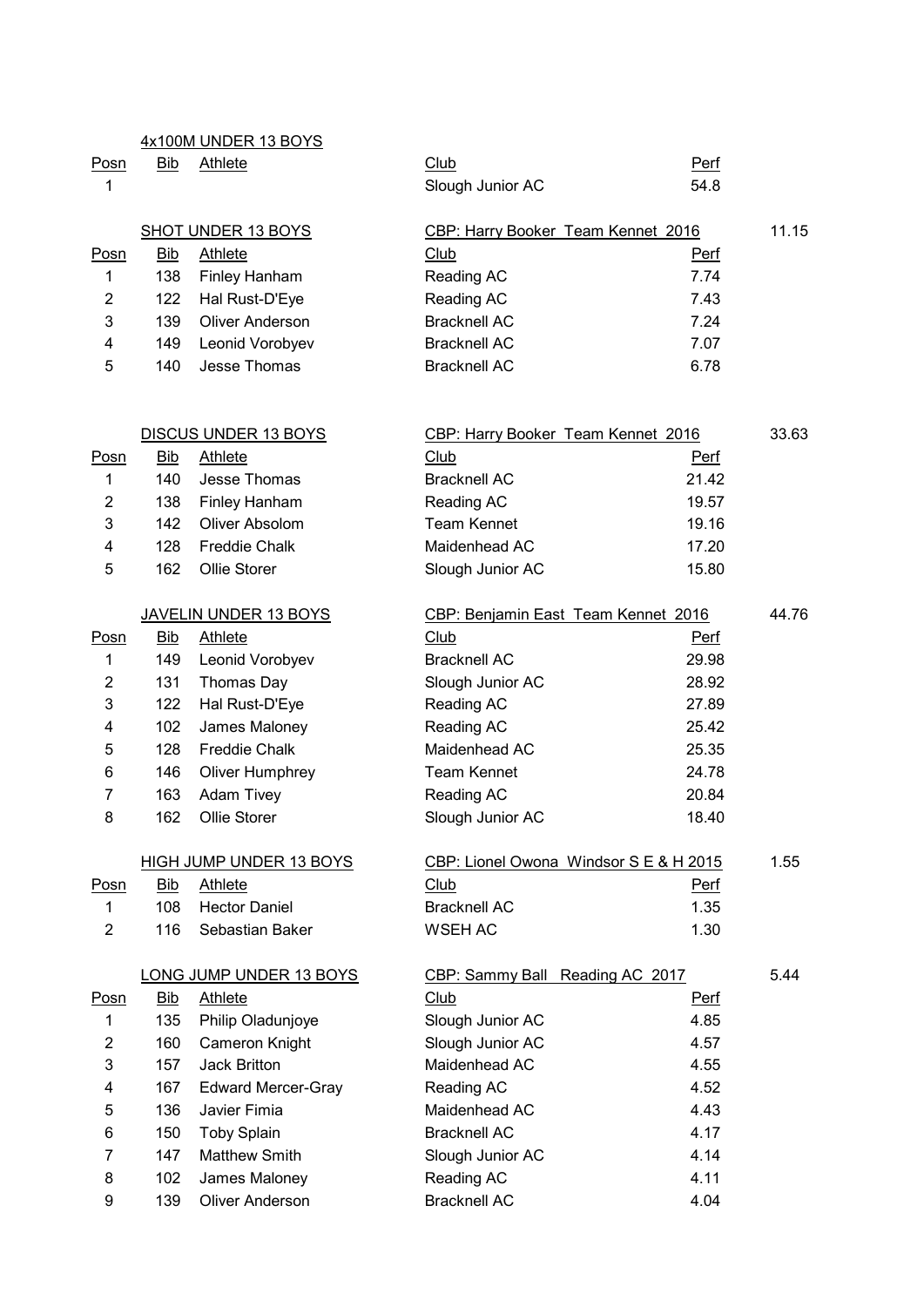|                |            | 4x100M UNDER 13 BOYS           |                                        |       |       |
|----------------|------------|--------------------------------|----------------------------------------|-------|-------|
| <u>Posn</u>    | Bib        | <b>Athlete</b>                 | Club                                   | Perf  |       |
| $\mathbf 1$    |            |                                | Slough Junior AC                       | 54.8  |       |
|                |            | <b>SHOT UNDER 13 BOYS</b>      | CBP: Harry Booker Team Kennet 2016     |       | 11.15 |
| <b>Posn</b>    | <b>Bib</b> | <b>Athlete</b>                 | <b>Club</b>                            | Perf  |       |
| 1              | 138        | Finley Hanham                  | Reading AC                             | 7.74  |       |
| 2              | 122        | Hal Rust-D'Eye                 | Reading AC                             | 7.43  |       |
| 3              | 139        | <b>Oliver Anderson</b>         | <b>Bracknell AC</b>                    | 7.24  |       |
| 4              | 149        | Leonid Vorobyev                | <b>Bracknell AC</b>                    | 7.07  |       |
| 5              | 140        | Jesse Thomas                   | <b>Bracknell AC</b>                    | 6.78  |       |
|                |            |                                |                                        |       |       |
|                |            | DISCUS UNDER 13 BOYS           | CBP: Harry Booker Team Kennet 2016     |       | 33.63 |
| Posn           | <b>Bib</b> | <b>Athlete</b>                 | Club                                   | Perf  |       |
| 1              | 140        | Jesse Thomas                   | <b>Bracknell AC</b>                    | 21.42 |       |
| 2              | 138        | Finley Hanham                  | Reading AC                             | 19.57 |       |
| 3              | 142        | Oliver Absolom                 | <b>Team Kennet</b>                     | 19.16 |       |
| 4              | 128        | <b>Freddie Chalk</b>           | Maidenhead AC                          | 17.20 |       |
| 5              | 162        | Ollie Storer                   | Slough Junior AC                       | 15.80 |       |
|                |            |                                |                                        |       |       |
|                |            | <b>JAVELIN UNDER 13 BOYS</b>   | CBP: Benjamin East Team Kennet 2016    |       | 44.76 |
| Posn           | <b>Bib</b> | Athlete                        | Club                                   | Perf  |       |
| 1              | 149        | Leonid Vorobyev                | <b>Bracknell AC</b>                    | 29.98 |       |
| 2              | 131        | Thomas Day                     | Slough Junior AC                       | 28.92 |       |
| 3              | 122        | Hal Rust-D'Eye                 | Reading AC                             | 27.89 |       |
| 4              | 102        | James Maloney                  | Reading AC                             | 25.42 |       |
| 5              | 128        | <b>Freddie Chalk</b>           | Maidenhead AC                          | 25.35 |       |
| 6              | 146        | <b>Oliver Humphrey</b>         | <b>Team Kennet</b>                     | 24.78 |       |
| 7              | 163        | Adam Tivey                     | Reading AC                             | 20.84 |       |
| 8              | 162        | Ollie Storer                   | Slough Junior AC                       | 18.40 |       |
|                |            | <b>HIGH JUMP UNDER 13 BOYS</b> | CBP: Lionel Owona Windsor S E & H 2015 |       | 1.55  |
| <b>Posn</b>    | Bib        | <b>Athlete</b>                 | Club                                   | Perf  |       |
| $\mathbf{1}$   | 108        | <b>Hector Daniel</b>           | <b>Bracknell AC</b>                    | 1.35  |       |
| $\overline{2}$ | 116        | Sebastian Baker                | <b>WSEH AC</b>                         | 1.30  |       |
|                |            | LONG JUMP UNDER 13 BOYS        | CBP: Sammy Ball Reading AC 2017        |       | 5.44  |
| <u>Posn</u>    | <b>Bib</b> | <b>Athlete</b>                 | Club                                   | Perf  |       |
| 1              | 135        | Philip Oladunjoye              | Slough Junior AC                       | 4.85  |       |
| $\overline{2}$ | 160        | Cameron Knight                 | Slough Junior AC                       | 4.57  |       |
| 3              | 157        | <b>Jack Britton</b>            | Maidenhead AC                          | 4.55  |       |
| 4              | 167        | <b>Edward Mercer-Gray</b>      | Reading AC                             | 4.52  |       |
| 5              | 136        | Javier Fimia                   | Maidenhead AC                          | 4.43  |       |

 150 Toby Splain Bracknell AC 4.17 7 147 Matthew Smith Slough Junior AC 4.14 8 102 James Maloney Reading AC 4.11 9 139 Oliver Anderson Bracknell AC 4.04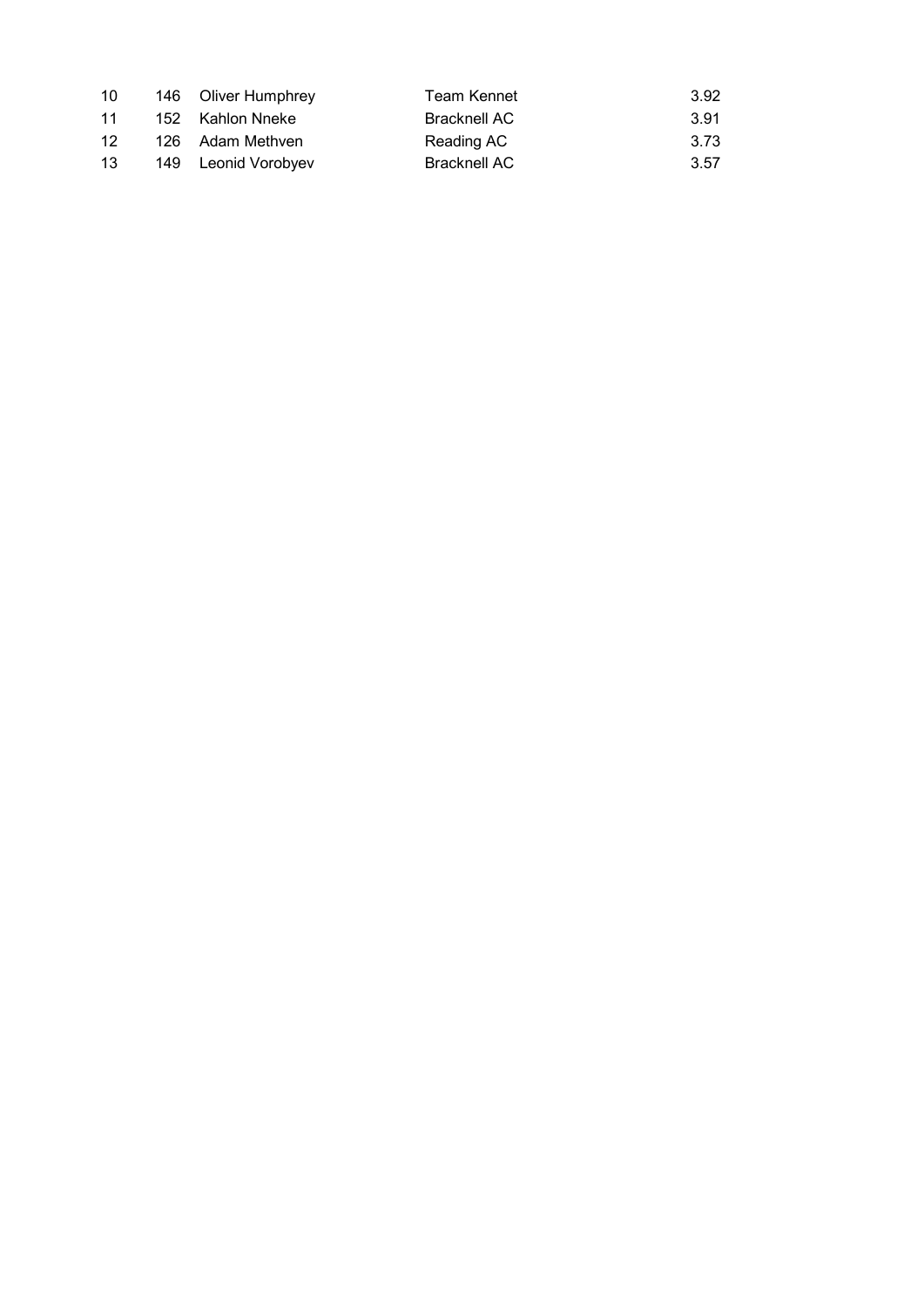| 10              | 146 Oliver Humphrey | Team Kennet         | 3.92  |
|-----------------|---------------------|---------------------|-------|
| 11              | 152 Kahlon Nneke    | <b>Bracknell AC</b> | -3.91 |
| 12 <sup>1</sup> | 126 Adam Methven    | Reading AC          | 3.73  |
| 13              | 149 Leonid Vorobyev | Bracknell AC        | 3.57  |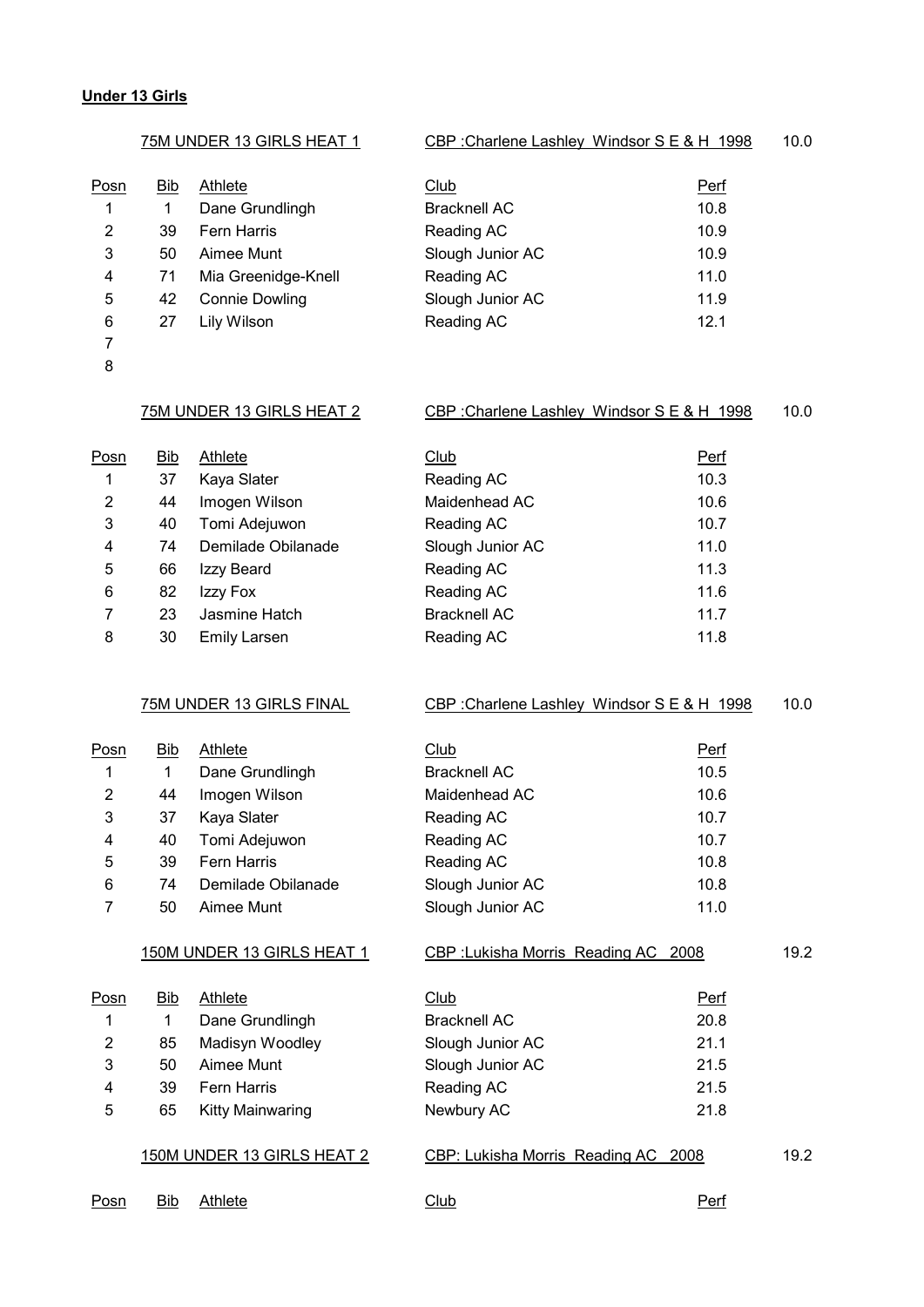# **Under 13 Girls**

|                | 75M UNDER 13 GIRLS HEAT 1 |                            | CBP: Charlene Lashley Windsor SE & H 1998 |             | 10.0 |
|----------------|---------------------------|----------------------------|-------------------------------------------|-------------|------|
| Posn           | <b>Bib</b>                | Athlete                    | Club                                      | <b>Perf</b> |      |
| 1              | $\mathbf{1}$              | Dane Grundlingh            | <b>Bracknell AC</b>                       | 10.8        |      |
| $\overline{2}$ | 39                        | Fern Harris                | Reading AC                                | 10.9        |      |
| 3              | 50                        | Aimee Munt                 | Slough Junior AC                          | 10.9        |      |
| 4              | 71                        | Mia Greenidge-Knell        | Reading AC                                | 11.0        |      |
| 5              | 42                        | <b>Connie Dowling</b>      | Slough Junior AC                          | 11.9        |      |
| 6              | 27                        | Lily Wilson                | Reading AC                                | 12.1        |      |
| $\overline{7}$ |                           |                            |                                           |             |      |
| 8              |                           |                            |                                           |             |      |
|                |                           | 75M UNDER 13 GIRLS HEAT 2  | CBP: Charlene Lashley Windsor SE & H 1998 |             | 10.0 |
| Posn           | $\overline{\text{Bib}}$   | <b>Athlete</b>             | Club                                      | <b>Perf</b> |      |
| 1              | 37                        | Kaya Slater                | Reading AC                                | 10.3        |      |
| $\overline{c}$ | 44                        | Imogen Wilson              | Maidenhead AC                             | 10.6        |      |
| 3              | 40                        | Tomi Adejuwon              | Reading AC                                | 10.7        |      |
| 4              | 74                        | Demilade Obilanade         | Slough Junior AC                          | 11.0        |      |
| 5              | 66                        | Izzy Beard                 | Reading AC                                | 11.3        |      |
| 6              | 82                        | Izzy Fox                   | Reading AC                                | 11.6        |      |
| 7              | 23                        | Jasmine Hatch              | <b>Bracknell AC</b>                       | 11.7        |      |
| 8              | 30                        | <b>Emily Larsen</b>        | Reading AC                                | 11.8        |      |
|                |                           | 75M UNDER 13 GIRLS FINAL   | CBP: Charlene Lashley Windsor SE & H 1998 |             | 10.0 |
| <u>Posn</u>    | <u>Bib</u>                | <b>Athlete</b>             | Club                                      | <u>Perf</u> |      |
| 1              | 1                         | Dane Grundlingh            | <b>Bracknell AC</b>                       | 10.5        |      |
| $\overline{2}$ | 44                        | Imogen Wilson              | Maidenhead AC                             | 10.6        |      |
| 3              | 37                        | Kaya Slater                | Reading AC                                | 10.7        |      |
| 4              | 40                        | Tomi Adejuwon              | Reading AC                                | 10.7        |      |
| 5              | 39                        | Fern Harris                | Reading AC                                | 10.8        |      |
| 6              | 74                        | Demilade Obilanade         | Slough Junior AC                          | 10.8        |      |
| $\overline{7}$ | 50                        | Aimee Munt                 | Slough Junior AC                          | 11.0        |      |
|                |                           | 150M UNDER 13 GIRLS HEAT 1 | CBP: Lukisha Morris Reading AC 2008       |             | 19.2 |
|                |                           |                            |                                           |             |      |
| Posn           | <u>Bib</u>                | <b>Athlete</b>             | Club                                      | Perf        |      |
| 1              | 1                         | Dane Grundlingh            | <b>Bracknell AC</b>                       | 20.8        |      |
| 2              | 85                        | Madisyn Woodley            | Slough Junior AC                          | 21.1        |      |
| 3              | 50                        | Aimee Munt                 | Slough Junior AC                          | 21.5        |      |
| 4              | 39                        | Fern Harris                | Reading AC                                | 21.5        |      |
| 5              | 65                        | <b>Kitty Mainwaring</b>    | Newbury AC                                | 21.8        |      |
|                |                           | 150M UNDER 13 GIRLS HEAT 2 | CBP: Lukisha Morris Reading AC 2008       |             | 19.2 |
| Posn           | Bib                       | <b>Athlete</b>             | Club                                      | <b>Perf</b> |      |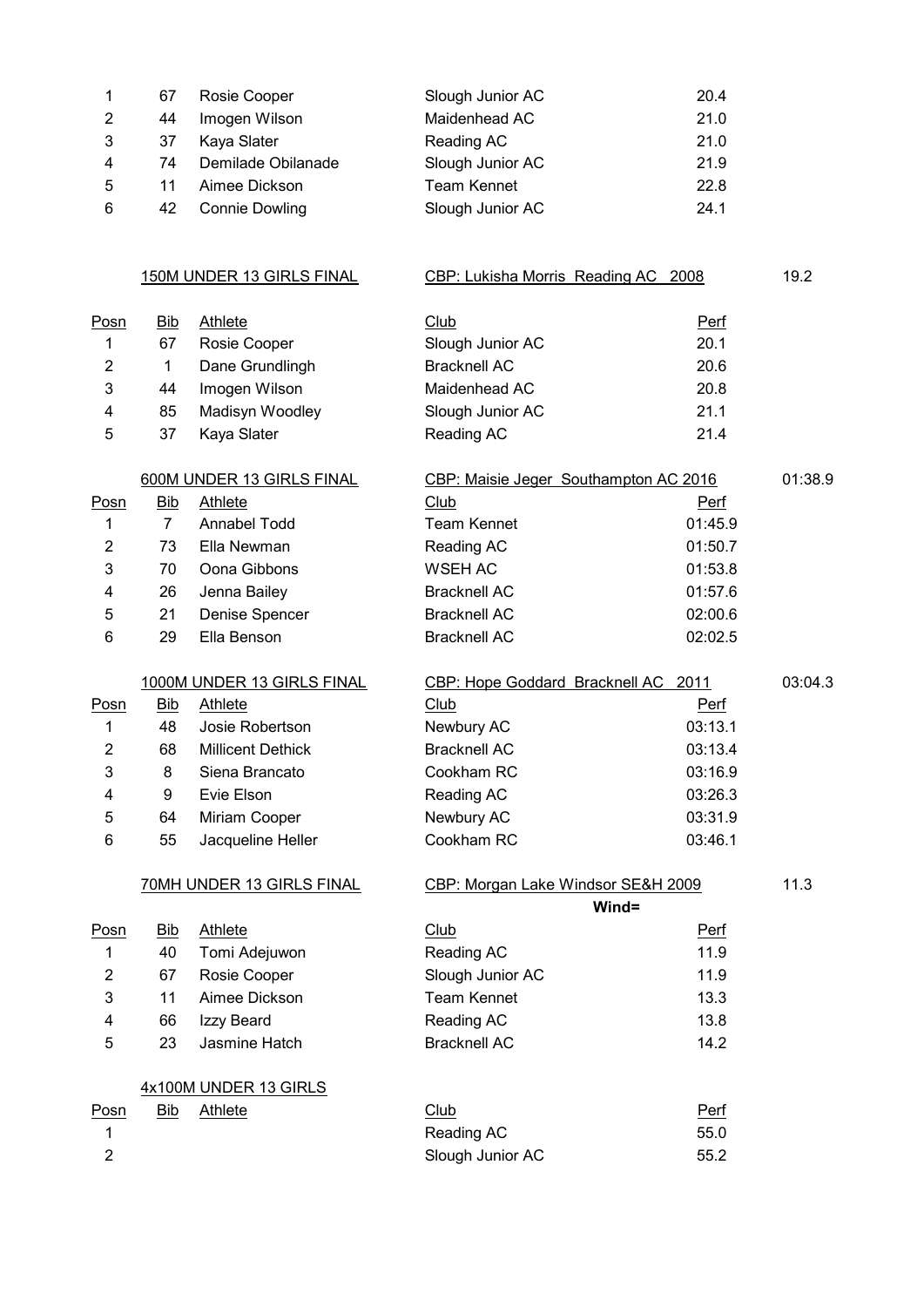| 67  | Rosie Cooper          | Slough Junior AC | 20.4 |
|-----|-----------------------|------------------|------|
| 44  | Imogen Wilson         | Maidenhead AC    | 21.0 |
| -37 | Kaya Slater           | Reading AC       | 21.0 |
| 74  | Demilade Obilanade    | Slough Junior AC | 21.9 |
| 11  | Aimee Dickson         | Team Kennet      | 22.8 |
| 42  | <b>Connie Dowling</b> | Slough Junior AC | 24.1 |
|     |                       |                  |      |

150M UNDER 13 GIRLS FINAL CBP: Lukisha Morris Reading AC 2008 19.2

| <u>Posn</u> | <u>Bib</u>     | <b>Athlete</b>             | Club                                  | <b>Perf</b> |         |
|-------------|----------------|----------------------------|---------------------------------------|-------------|---------|
|             | 67             | Rosie Cooper               | Slough Junior AC                      | 20.1        |         |
| 2           | 1              | Dane Grundlingh            | <b>Bracknell AC</b>                   | 20.6        |         |
| 3           | 44             | Imogen Wilson              | Maidenhead AC                         | 20.8        |         |
| 4           | 85             | Madisyn Woodley            | Slough Junior AC                      | 21.1        |         |
| 5           | 37             | Kaya Slater                | Reading AC                            | 21.4        |         |
|             |                | 600M UNDER 13 GIRLS FINAL  | CBP: Maisie Jeger Southampton AC 2016 |             | 01:38.9 |
| Posn        | <b>Bib</b>     | <b>Athlete</b>             | <b>Club</b>                           | <u>Perf</u> |         |
|             | $\overline{7}$ | Annabel Todd               | <b>Team Kennet</b>                    | 01:45.9     |         |
| 2           | 73             | Ella Newman                | Reading AC                            | 01:50.7     |         |
| 3           | 70             | Oona Gibbons               | WSEH AC                               | 01:53.8     |         |
| 4           | 26             | Jenna Bailey               | <b>Bracknell AC</b>                   | 01:57.6     |         |
| 5           | 21             | Denise Spencer             | <b>Bracknell AC</b>                   | 02:00.6     |         |
| 6           | 29             | Ella Benson                | <b>Bracknell AC</b>                   | 02:02.5     |         |
|             |                | 1000M UNDER 13 GIRLS FINAL | CBP: Hope Goddard Bracknell AC        | 2011        | 03:04.3 |
| <b>Doen</b> | Rih            | ∆thlete                    | <b>Club</b>                           | Darf        |         |

| <u>Posn</u>   | <b>Bib</b> | Athlete           | Club         | <u>Perf</u> |
|---------------|------------|-------------------|--------------|-------------|
|               | 48.        | Josie Robertson   | Newbury AC   | 03:13.1     |
|               | 68         | Millicent Dethick | Bracknell AC | 03:13.4     |
| $\mathcal{R}$ | 8          | Siena Brancato    | Cookham RC   | 03:16.9     |

| $\mathbf{2}^-$ | 68 | <b>Millicent Dethick</b> | <b>Bracknell AC</b> | 03:13.4 |
|----------------|----|--------------------------|---------------------|---------|
| 3.             | 8  | Siena Brancato           | Cookham RC          | 03:16.9 |
| 4              | 9  | Evie Elson               | Reading AC          | 03:26.3 |
| 5.             | 64 | Miriam Cooper            | Newbury AC          | 03:31.9 |
| 6.             | 55 | Jacqueline Heller        | Cookham RC          | 03:46.1 |
|                |    |                          |                     |         |

|             | 70MH UNDER 13 GIRLS FINAL |                       | CBP: Morgan Lake Windsor SE&H 2009 |             | 11.3 |
|-------------|---------------------------|-----------------------|------------------------------------|-------------|------|
|             |                           |                       | $Wind =$                           |             |      |
| <u>Posn</u> | <b>Bib</b>                | Athlete               | <b>Club</b>                        | <b>Perf</b> |      |
|             | 40                        | Tomi Adejuwon         | Reading AC                         | 11.9        |      |
| 2           | 67                        | Rosie Cooper          | Slough Junior AC                   | 11.9        |      |
| 3           | 11                        | Aimee Dickson         | Team Kennet                        | 13.3        |      |
| 4           | 66                        | Izzy Beard            | Reading AC                         | 13.8        |      |
| 5           | 23                        | Jasmine Hatch         | <b>Bracknell AC</b>                | 14.2        |      |
|             |                           |                       |                                    |             |      |
|             |                           | 4x100M UNDER 13 GIRLS |                                    |             |      |

| Posn | <b>Bib</b> | Athlete | <u>Club</u>      | <u>Perf</u> |
|------|------------|---------|------------------|-------------|
|      |            |         | Reading AC       | 55.0        |
|      |            |         | Slough Junior AC | 55.2        |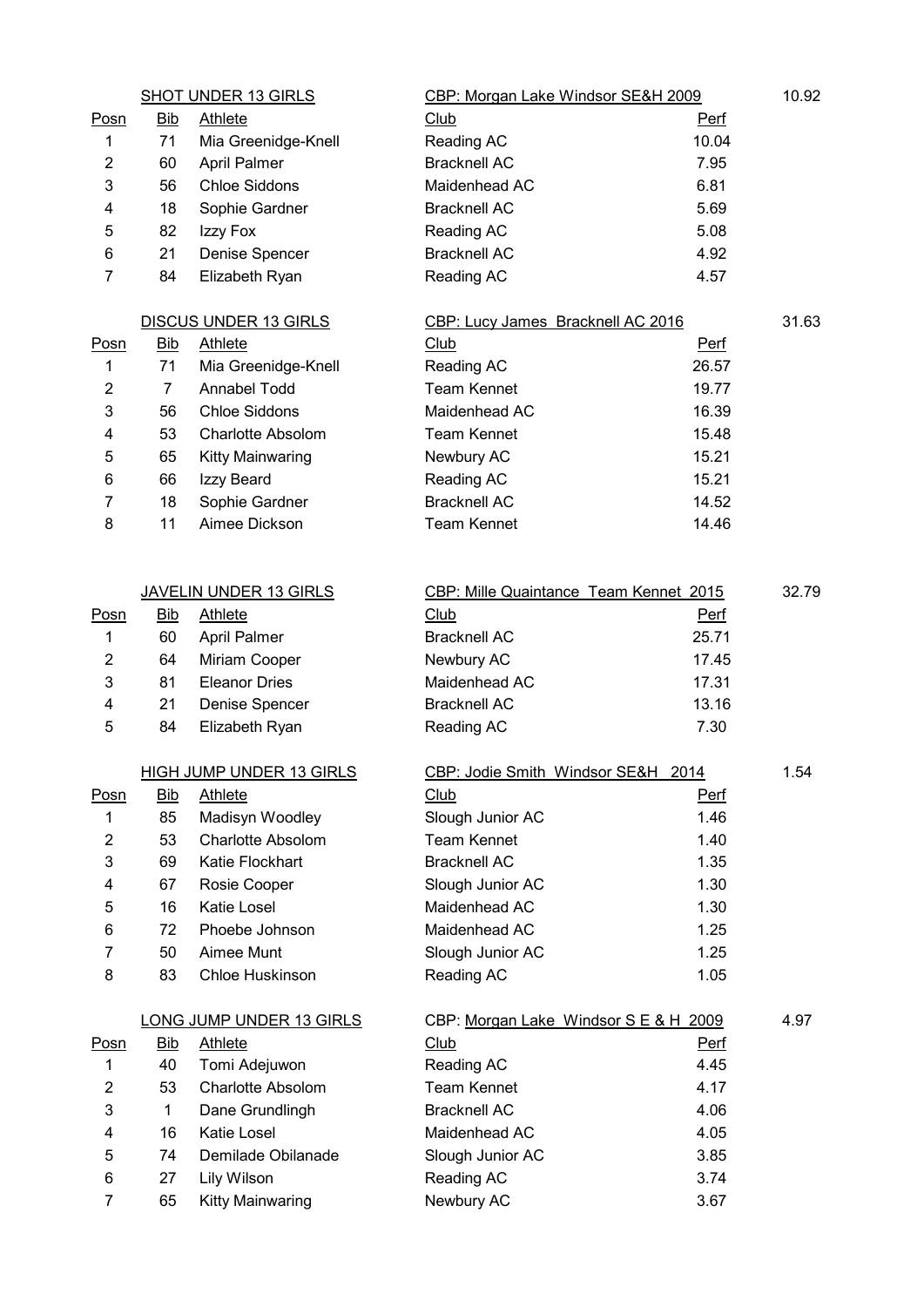|                         |                  | <b>SHOT UNDER 13 GIRLS</b>                  | CBP: Morgan Lake Windsor SE&H 2009     |                     | 10.92 |
|-------------------------|------------------|---------------------------------------------|----------------------------------------|---------------------|-------|
| Posn                    | <b>Bib</b>       | <b>Athlete</b>                              | Club                                   | <b>Perf</b>         |       |
| 1                       | 71               | Mia Greenidge-Knell                         | Reading AC                             | 10.04               |       |
| $\overline{2}$          | 60               | April Palmer                                | <b>Bracknell AC</b>                    | 7.95                |       |
| 3                       | 56               | <b>Chloe Siddons</b>                        | Maidenhead AC                          | 6.81                |       |
| 4                       | 18               | Sophie Gardner                              | <b>Bracknell AC</b>                    | 5.69                |       |
| 5                       | 82               | Izzy Fox                                    | Reading AC                             | 5.08                |       |
| 6                       | 21               | Denise Spencer                              | <b>Bracknell AC</b>                    | 4.92                |       |
| $\overline{7}$          | 84               | Elizabeth Ryan                              | Reading AC                             | 4.57                |       |
|                         |                  | <b>DISCUS UNDER 13 GIRLS</b>                | CBP: Lucy James Bracknell AC 2016      |                     | 31.63 |
| <b>Posn</b>             | <b>Bib</b>       | <b>Athlete</b>                              | <b>Club</b>                            | <b>Perf</b>         |       |
| 1                       | 71               | Mia Greenidge-Knell                         | Reading AC                             | 26.57               |       |
| $\overline{\mathbf{c}}$ | $\overline{7}$   | Annabel Todd                                | <b>Team Kennet</b>                     | 19.77               |       |
| 3                       | 56               | <b>Chloe Siddons</b>                        | Maidenhead AC                          | 16.39               |       |
| 4                       | 53               | <b>Charlotte Absolom</b>                    | <b>Team Kennet</b>                     | 15.48               |       |
| 5                       | 65               | Kitty Mainwaring                            | Newbury AC                             | 15.21               |       |
| 6                       | 66               | Izzy Beard                                  | Reading AC                             | 15.21               |       |
| 7                       | 18               | Sophie Gardner                              | <b>Bracknell AC</b>                    | 14.52               |       |
| 8                       | 11               | Aimee Dickson                               | <b>Team Kennet</b>                     | 14.46               |       |
|                         |                  |                                             |                                        |                     |       |
|                         |                  | <b>JAVELIN UNDER 13 GIRLS</b>               | CBP: Mille Quaintance Team Kennet 2015 |                     | 32.79 |
| <u>Posn</u>             | <b>Bib</b>       | Athlete                                     | Club                                   | <b>Perf</b>         |       |
| 1                       | 60               | April Palmer                                | <b>Bracknell AC</b>                    | 25.71               |       |
| 2                       | 64               | Miriam Cooper                               | Newbury AC                             | 17.45               |       |
| 3                       | 81               | <b>Eleanor Dries</b>                        | Maidenhead AC                          | 17.31               |       |
| 4                       | 21               | Denise Spencer                              | <b>Bracknell AC</b>                    | 13.16               |       |
| 5                       | 84               | Elizabeth Ryan                              | Reading AC                             | 7.30                |       |
|                         |                  | HIGH JUMP UNDER 13 GIRLS                    |                                        |                     | 1.54  |
|                         |                  |                                             | CBP: Jodie Smith Windsor SE&H 2014     |                     |       |
| Posn<br>1               | <b>Bib</b><br>85 | <b>Athlete</b>                              | <b>Club</b>                            | <b>Perf</b><br>1.46 |       |
| $\overline{2}$          |                  | Madisyn Woodley<br><b>Charlotte Absolom</b> | Slough Junior AC<br><b>Team Kennet</b> | 1.40                |       |
| 3                       | 53<br>69         | Katie Flockhart                             | <b>Bracknell AC</b>                    | 1.35                |       |
|                         | 67               |                                             |                                        | 1.30                |       |
| 4                       | 16               | Rosie Cooper<br>Katie Losel                 | Slough Junior AC<br>Maidenhead AC      | 1.30                |       |
| 5                       |                  |                                             | Maidenhead AC                          | 1.25                |       |
| 6<br>7                  | 72<br>50         | Phoebe Johnson<br>Aimee Munt                | Slough Junior AC                       | 1.25                |       |
| 8                       | 83               | Chloe Huskinson                             |                                        | 1.05                |       |
|                         |                  |                                             | Reading AC                             |                     |       |
|                         |                  | <b>LONG JUMP UNDER 13 GIRLS</b>             | CBP: Morgan Lake Windsor S E & H 2009  |                     | 4.97  |
| <u>Posn</u>             | <b>Bib</b>       | <b>Athlete</b>                              | <b>Club</b>                            | <b>Perf</b>         |       |
| 1                       | 40               | Tomi Adejuwon                               | Reading AC                             | 4.45                |       |
| 2                       | 53               | Charlotte Absolom                           | <b>Team Kennet</b>                     | 4.17                |       |
| 3                       | 1                | Dane Grundlingh                             | <b>Bracknell AC</b>                    | 4.06                |       |
| 4                       | 16               | Katie Losel                                 | Maidenhead AC                          | 4.05                |       |
| 5                       | 74               | Demilade Obilanade                          | Slough Junior AC                       | 3.85                |       |
| 6                       | 27               | Lily Wilson                                 | Reading AC                             | 3.74                |       |
| 7                       | 65               | <b>Kitty Mainwaring</b>                     | Newbury AC                             | 3.67                |       |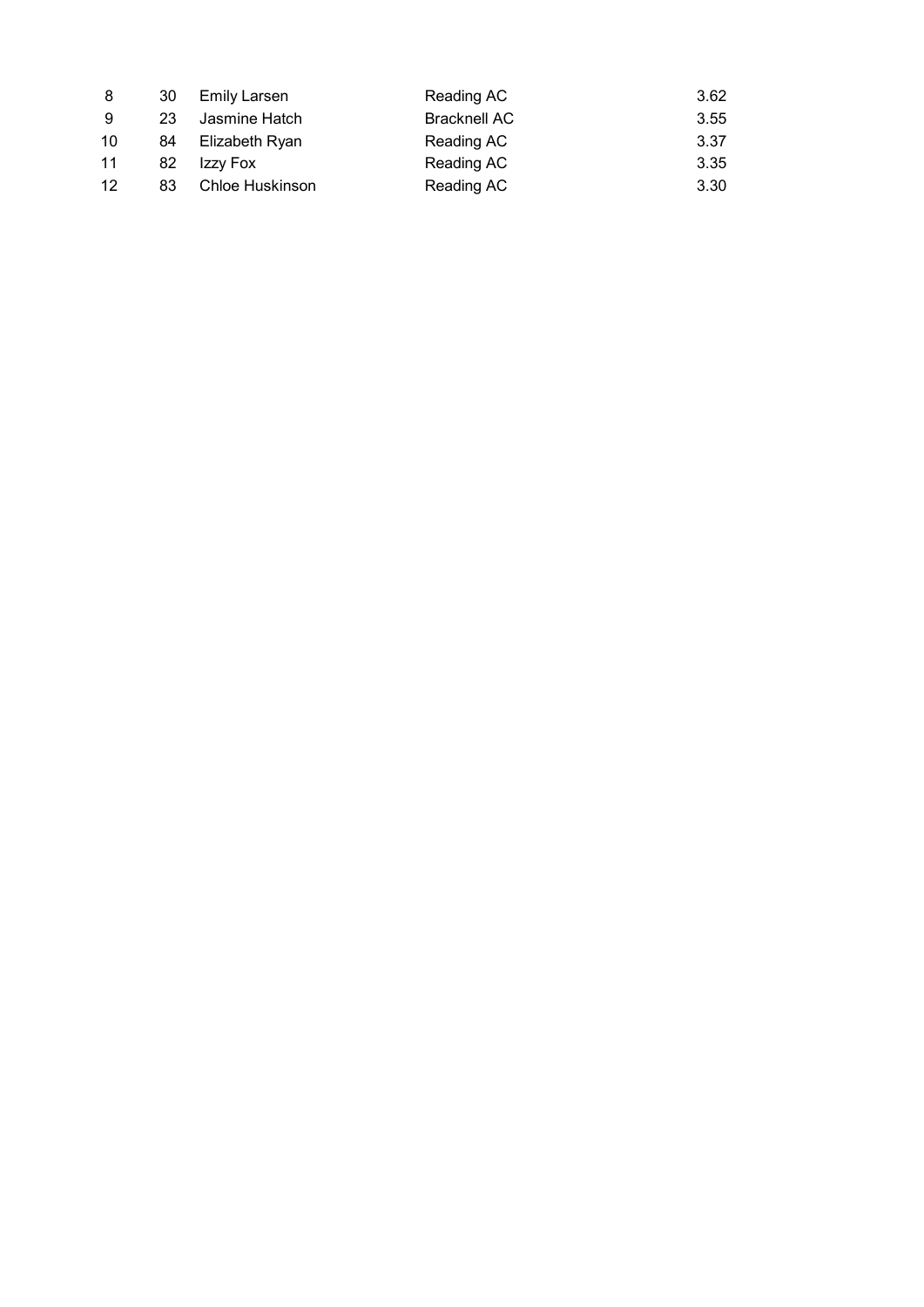| 8  | -30 | Emily Larsen    | Reading AC          | 3.62 |
|----|-----|-----------------|---------------------|------|
| -9 | 23  | Jasmine Hatch   | <b>Bracknell AC</b> | 3.55 |
| 10 | 84  | Elizabeth Ryan  | Reading AC          | 3.37 |
| 11 | 82  | Izzy Fox        | Reading AC          | 3.35 |
| 12 | 83  | Chloe Huskinson | Reading AC          | 3.30 |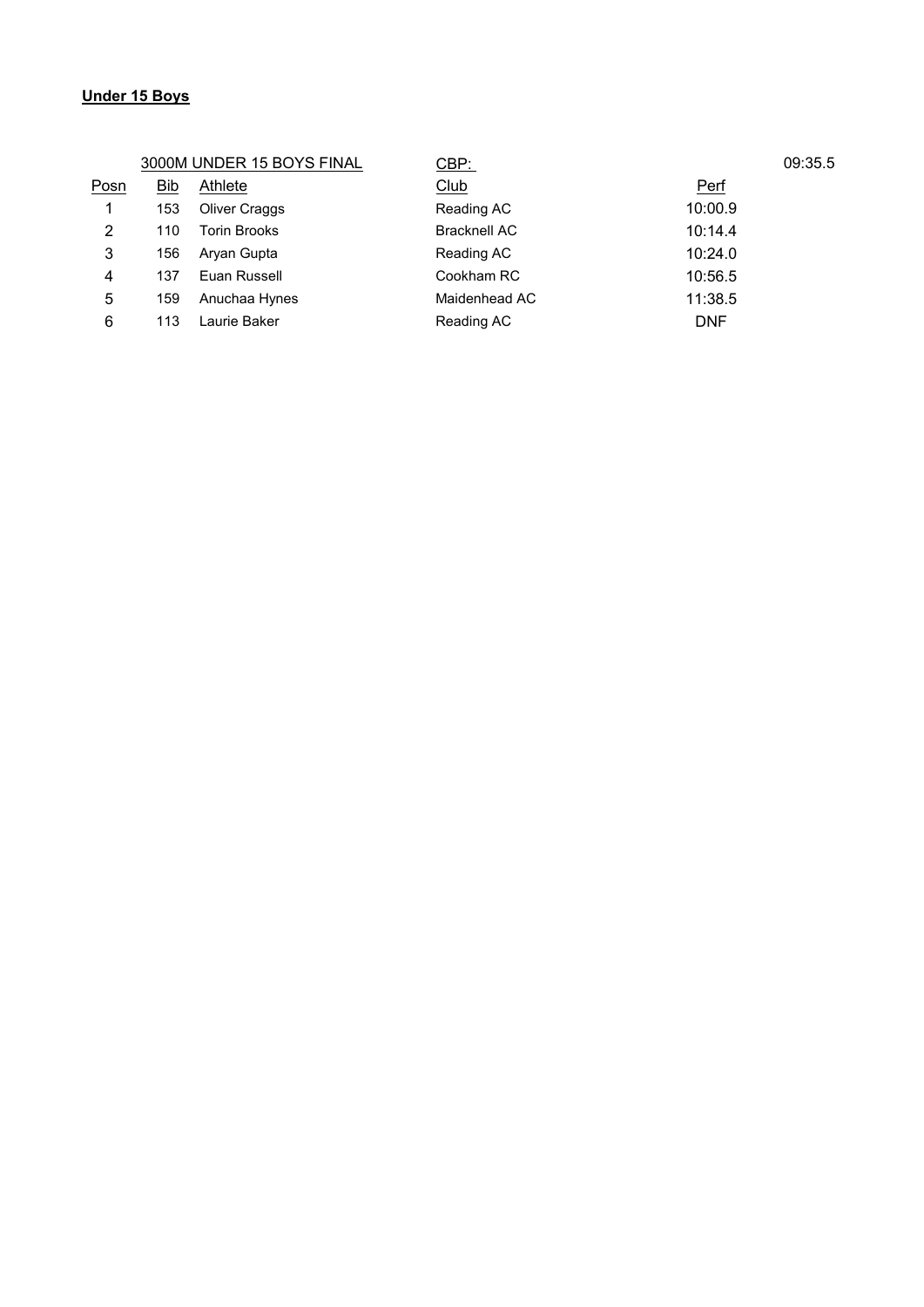# **Under 15 Boys**

3000M UNDER 15 BOYS FINAL CBP: 09:35.5

| Posn | Bib | Athlete              | <u>Club</u>         | <b>Perf</b> |
|------|-----|----------------------|---------------------|-------------|
|      | 153 | <b>Oliver Craggs</b> | Reading AC          | 10:00.9     |
| 2    | 110 | <b>Torin Brooks</b>  | <b>Bracknell AC</b> | 10:14.4     |
| 3    | 156 | Aryan Gupta          | Reading AC          | 10:24.0     |
| 4    | 137 | Euan Russell         | Cookham RC          | 10:56.5     |
| 5    | 159 | Anuchaa Hynes        | Maidenhead AC       | 11:38.5     |
| 6    | 113 | Laurie Baker         | Reading AC          | <b>DNF</b>  |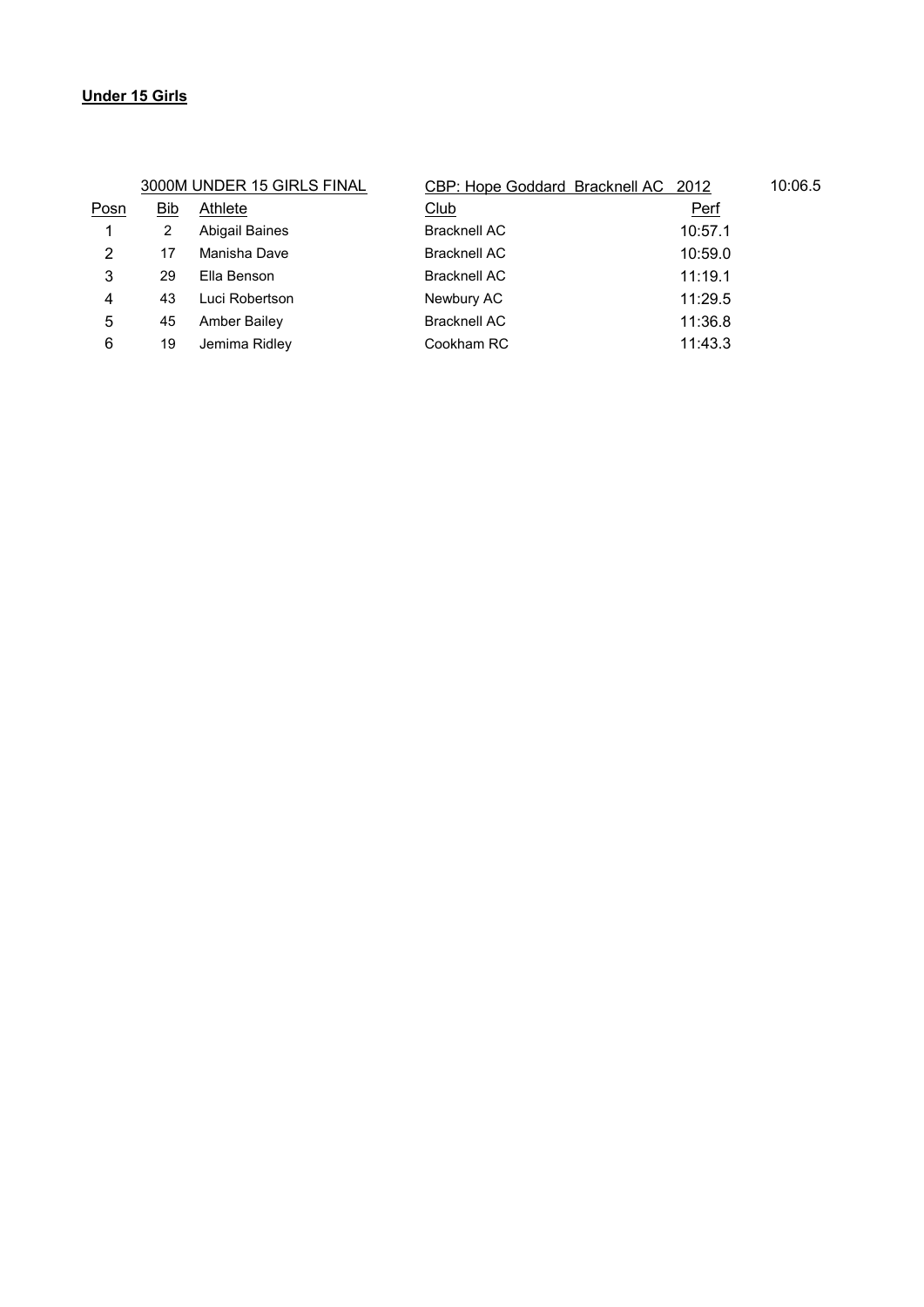# **Under 15 Girls**

|      |     | 3000M UNDER 15 GIRLS FINAL | CBP: Hope Goddard Bracknell AC 2012 |         | 10:06.5 |
|------|-----|----------------------------|-------------------------------------|---------|---------|
| Posn | Bib | Athlete                    | Club                                | Perf    |         |
|      | 2   | <b>Abigail Baines</b>      | <b>Bracknell AC</b>                 | 10:57.1 |         |
| 2    | 17  | Manisha Dave               | <b>Bracknell AC</b>                 | 10:59.0 |         |
| 3    | 29  | Ella Benson                | <b>Bracknell AC</b>                 | 11:19.1 |         |
| 4    | 43  | Luci Robertson             | Newbury AC                          | 11:29.5 |         |
| 5    | 45  | Amber Bailey               | <b>Bracknell AC</b>                 | 11:36.8 |         |
| 6    | 19  | Jemima Ridley              | Cookham RC                          | 11:43.3 |         |
|      |     |                            |                                     |         |         |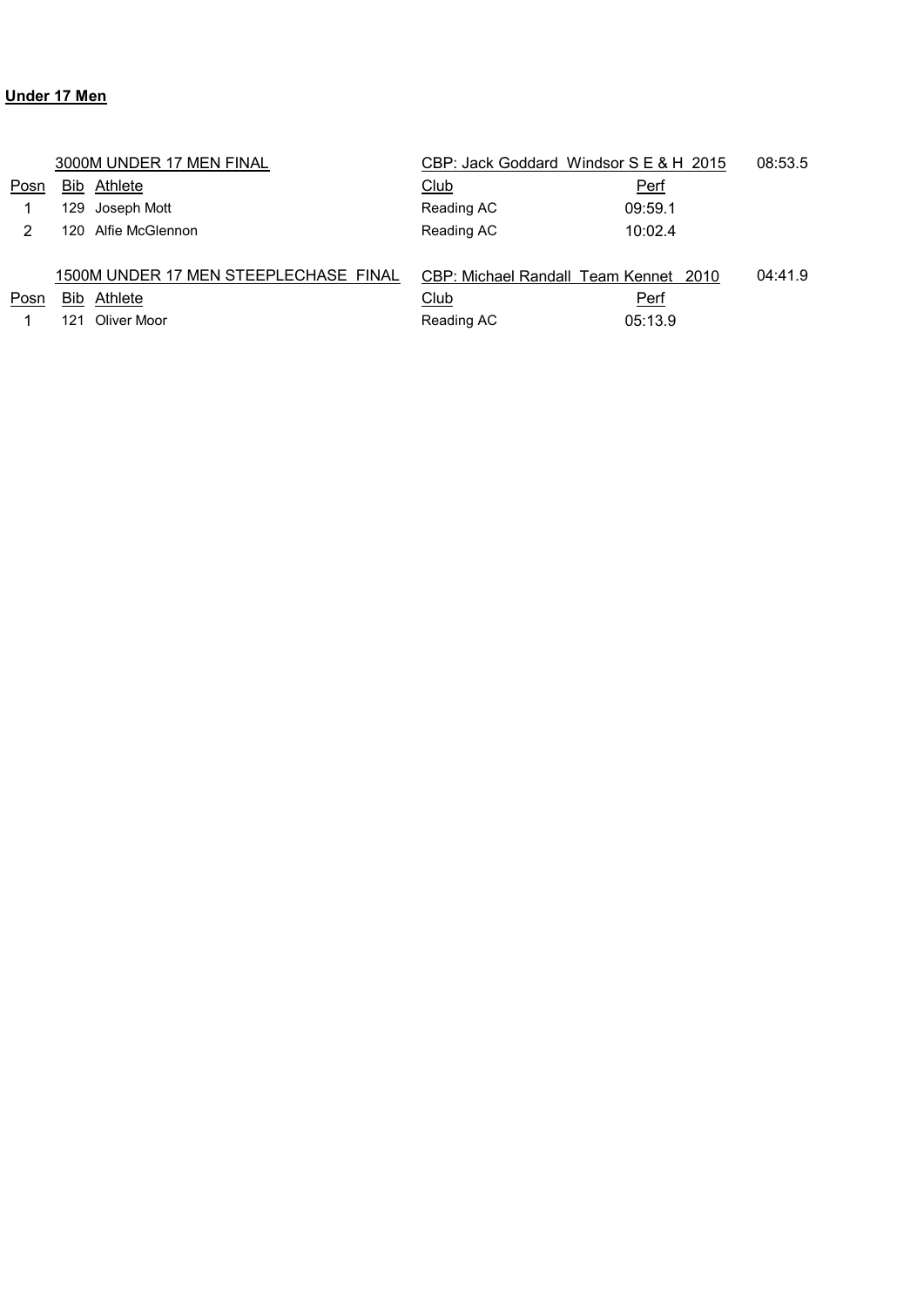# **Under 17 Men**

|      |            | 3000M UNDER 17 MEN FINAL              | CBP: Jack Goddard Windsor S E & H 2015 |             | 08:53.5 |
|------|------------|---------------------------------------|----------------------------------------|-------------|---------|
| Posn | Bib.       | Athlete                               | <u>Club</u>                            | <b>Perf</b> |         |
|      | 129        | Joseph Mott                           | Reading AC                             | 09:59.1     |         |
| 2    | 120.       | Alfie McGlennon                       | Reading AC                             | 10:02.4     |         |
|      |            |                                       |                                        |             |         |
|      |            | 1500M UNDER 17 MEN STEEPLECHASE FINAL | CBP: Michael Randall Team Kennet 2010  |             | 04:41.9 |
| Posn | <b>Bib</b> | Athlete                               | Club                                   | Perf        |         |
|      | 121        | Oliver Moor                           | Reading AC                             | 05:13.9     |         |
|      |            |                                       |                                        |             |         |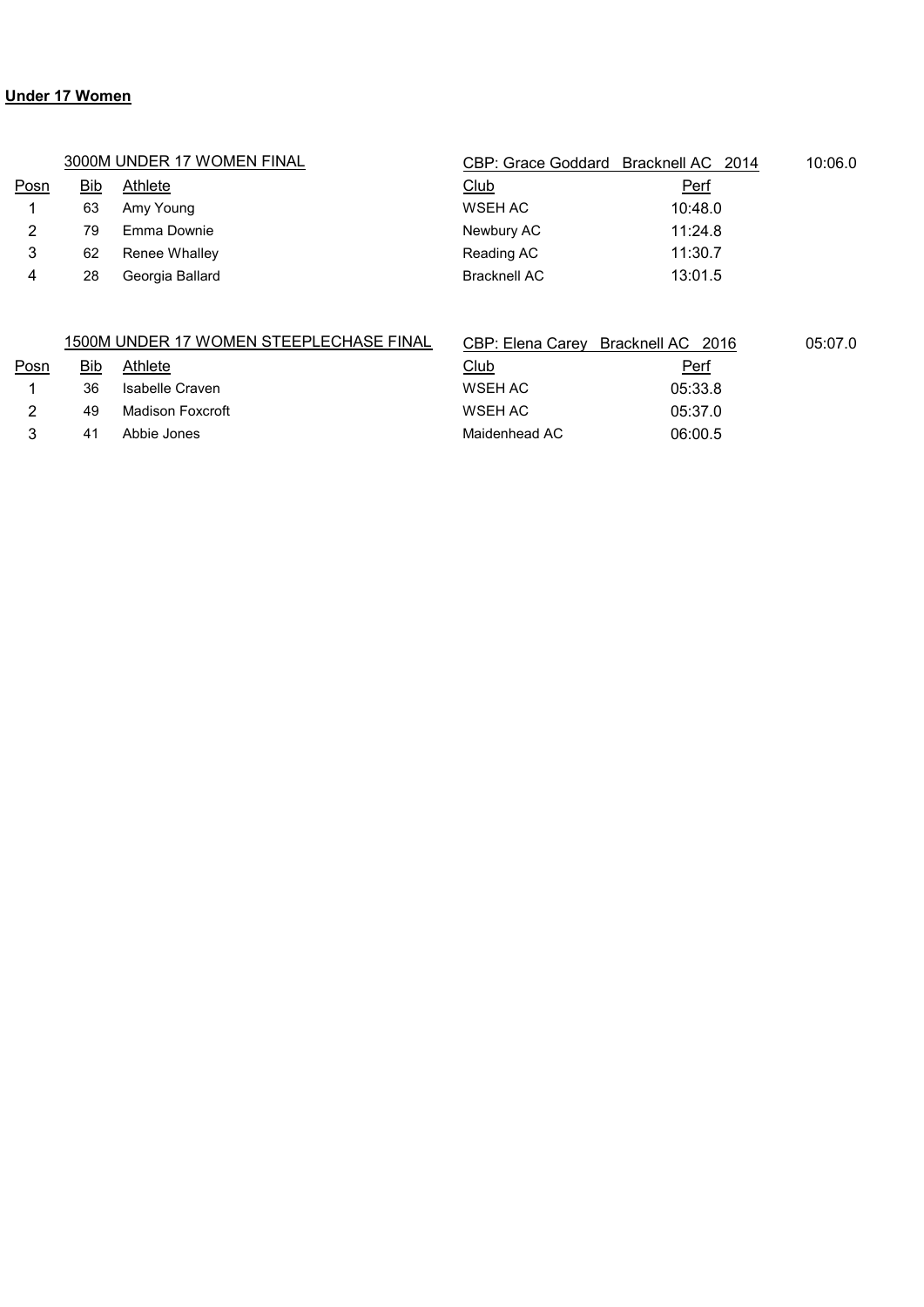# **Under 17 Women**

|      |            | 3000M UNDER 17 WOMEN FINAL              | CBP: Grace Goddard Bracknell AC 2014 |                   | 10:06.0 |
|------|------------|-----------------------------------------|--------------------------------------|-------------------|---------|
| Posn | <b>Bib</b> | Athlete                                 | <b>Club</b>                          | Perf              |         |
|      | 63         | Amy Young                               | WSEH AC                              | 10:48.0           |         |
| 2    | 79         | Emma Downie                             | Newbury AC                           | 11:24.8           |         |
| 3    | 62         | Renee Whalley                           | Reading AC                           | 11:30.7           |         |
| 4    | 28         | Georgia Ballard                         | Bracknell AC                         | 13:01.5           |         |
|      |            |                                         |                                      |                   |         |
|      |            | 1500M UNDER 17 WOMEN STEEPLECHASE FINAL | CBP: Elena Carey                     | Bracknell AC 2016 | 05:07.0 |
| Posn | Bib        | Athlete                                 | Club                                 | Perf              |         |

| . |    |                  | $ -$          | ------  |  |
|---|----|------------------|---------------|---------|--|
|   | 36 | Isabelle Craven  | WSEH AC       | 05:33.8 |  |
|   | 49 | Madison Foxcroft | WSEH AC       | 05:37.0 |  |
|   | 41 | Abbie Jones      | Maidenhead AC | 06:00.5 |  |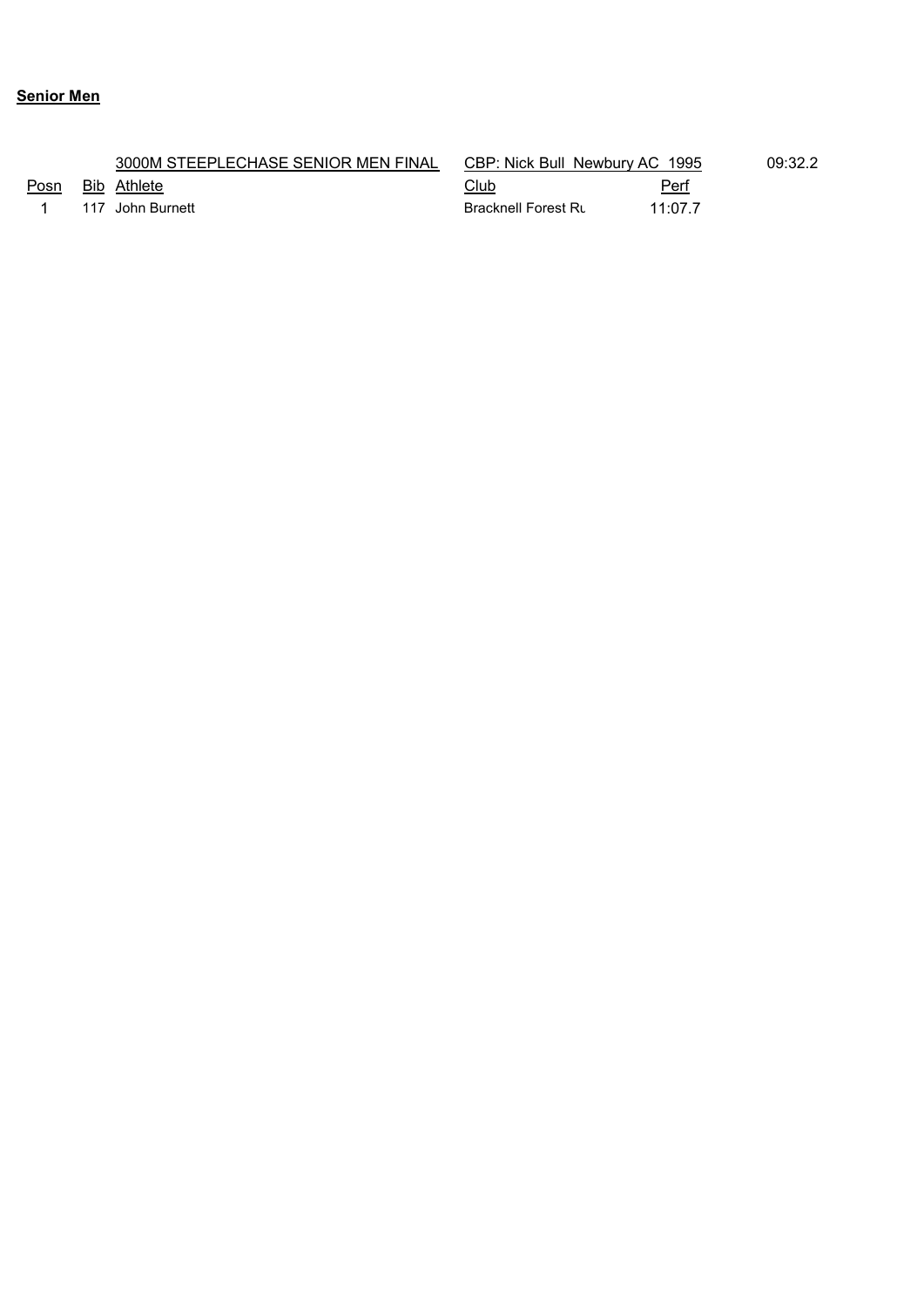# **Senior Men**

|      | 3000M STEEPLECHASE SENIOR MEN FINAL | CBP: Nick Bull Newbury AC 1995 |         | 09:32.2 |
|------|-------------------------------------|--------------------------------|---------|---------|
| Posn | Bib Athlete                         | <u>Club</u>                    | Perf    |         |
|      | 117 John Burnett                    | <b>Bracknell Forest Ru</b>     | 11:07.7 |         |
|      |                                     |                                |         |         |